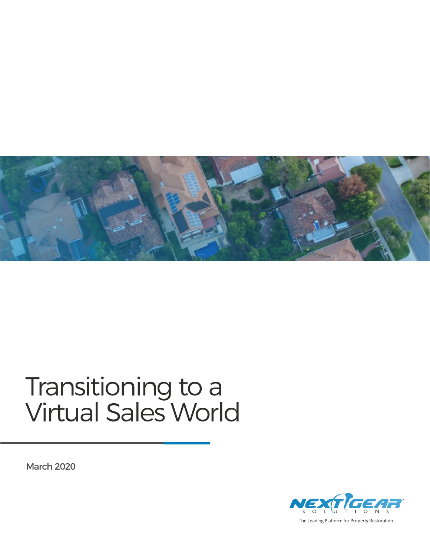

#### Transitioning to a Virtual Sales World

March 2020



The Leading Platform for Property Restoration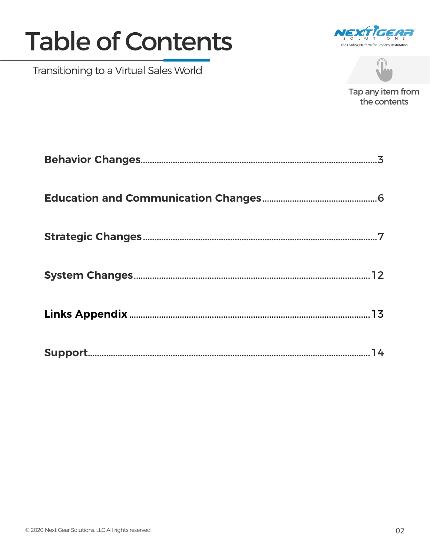#### **Table of Contents**

Transitioning to a Virtual Sales World





Tap any item from the contents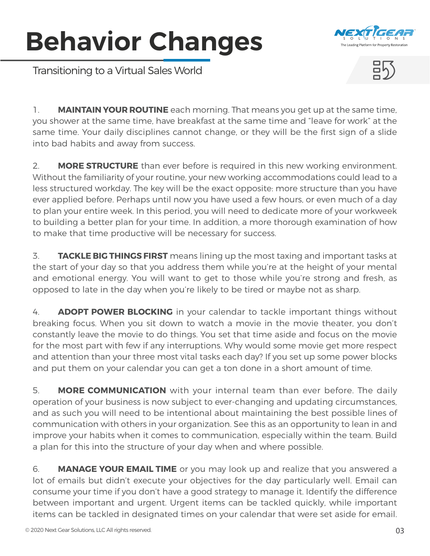# <span id="page-2-0"></span>**Behavior Changes**



Transitioning to a Virtual Sales World



1. **MAINTAIN YOUR ROUTINE** each morning. That means you get up at the same time, you shower at the same time, have breakfast at the same time and "leave for work" at the same time. Your daily disciplines cannot change, or they will be the first sign of a slide into bad habits and away from success.

2. **MORE STRUCTURE** than ever before is required in this new working environment. Without the familiarity of your routine, your new working accommodations could lead to a less structured workday. The key will be the exact opposite: more structure than you have ever applied before. Perhaps until now you have used a few hours, or even much of a day to plan your entire week. In this period, you will need to dedicate more of your workweek to building a better plan for your time. In addition, a more thorough examination of how to make that time productive will be necessary for success.

3. **TACKLE BIG THINGS FIRST** means lining up the most taxing and important tasks at the start of your day so that you address them while you're at the height of your mental and emotional energy. You will want to get to those while you're strong and fresh, as opposed to late in the day when you're likely to be tired or maybe not as sharp.

4. **ADOPT POWER BLOCKING** in your calendar to tackle important things without breaking focus. When you sit down to watch a movie in the movie theater, you don't constantly leave the movie to do things. You set that time aside and focus on the movie for the most part with few if any interruptions. Why would some movie get more respect and attention than your three most vital tasks each day? If you set up some power blocks and put them on your calendar you can get a ton done in a short amount of time.

5. **MORE COMMUNICATION** with your internal team than ever before. The daily operation of your business is now subject to ever-changing and updating circumstances, and as such you will need to be intentional about maintaining the best possible lines of communication with others in your organization. See this as an opportunity to lean in and improve your habits when it comes to communication, especially within the team. Build a plan for this into the structure of your day when and where possible.

6. **MANAGE YOUR EMAIL TIME** or you may look up and realize that you answered a lot of emails but didn't execute your objectives for the day particularly well. Email can consume your time if you don't have a good strategy to manage it. Identify the difference between important and urgent. Urgent items can be tackled quickly, while important items can be tackled in designated times on your calendar that were set aside for email.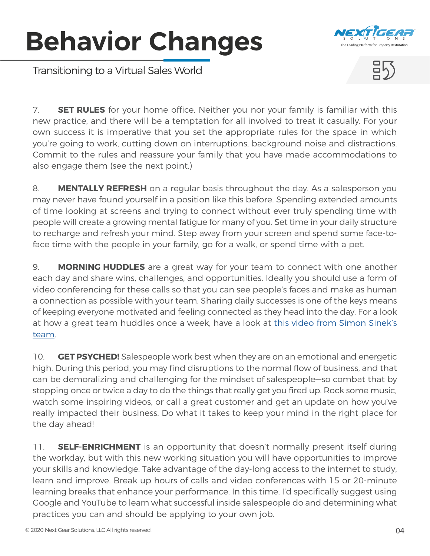# **Behavior Changes**



Transitioning to a Virtual Sales World



7. **SET RULES** for your home office. Neither you nor your family is familiar with this new practice, and there will be a temptation for all involved to treat it casually. For your own success it is imperative that you set the appropriate rules for the space in which you're going to work, cutting down on interruptions, background noise and distractions. Commit to the rules and reassure your family that you have made accommodations to also engage them (see the next point.)

8. **MENTALLY REFRESH** on a regular basis throughout the day. As a salesperson you may never have found yourself in a position like this before. Spending extended amounts of time looking at screens and trying to connect without ever truly spending time with people will create a growing mental fatigue for many of you. Set time in your daily structure to recharge and refresh your mind. Step away from your screen and spend some face-toface time with the people in your family, go for a walk, or spend time with a pet.

9. **MORNING HUDDLES** are a great way for your team to connect with one another each day and share wins, challenges, and opportunities. Ideally you should use a form of video conferencing for these calls so that you can see people's faces and make as human a connection as possible with your team. Sharing daily successes is one of the keys means of keeping everyone motivated and feeling connected as they head into the day. For a look at how a great team huddles once a week, have a look at [this video from Simon Sinek's](https://www.youtube.com/watch?v=tKEtm3HCrsw&t=535s) [team.](https://www.youtube.com/watch?v=tKEtm3HCrsw&t=535s)

10. **GET PSYCHED!** Salespeople work best when they are on an emotional and energetic high. During this period, you may find disruptions to the normal flow of business, and that can be demoralizing and challenging for the mindset of salespeople—so combat that by stopping once or twice a day to do the things that really get you fired up. Rock some music, watch some inspiring videos, or call a great customer and get an update on how you've really impacted their business. Do what it takes to keep your mind in the right place for the day ahead!

11. **SELF-ENRICHMENT** is an opportunity that doesn't normally present itself during the workday, but with this new working situation you will have opportunities to improve your skills and knowledge. Take advantage of the day-long access to the internet to study, learn and improve. Break up hours of calls and video conferences with 15 or 20-minute learning breaks that enhance your performance. In this time, I'd specifically suggest using Google and YouTube to learn what successful inside salespeople do and determining what practices you can and should be applying to your own job.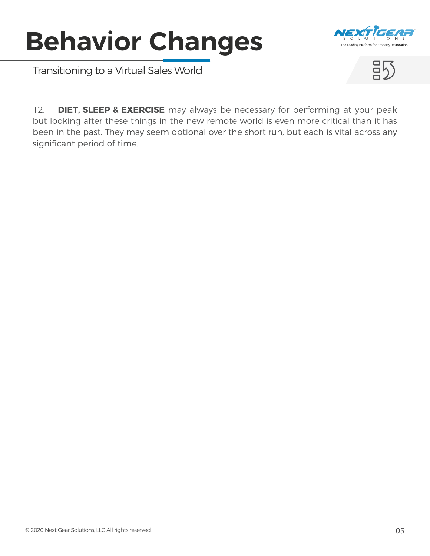# **Behavior Changes**



Transitioning to a Virtual Sales World



12. **DIET, SLEEP & EXERCISE** may always be necessary for performing at your peak but looking after these things in the new remote world is even more critical than it has been in the past. They may seem optional over the short run, but each is vital across any significant period of time.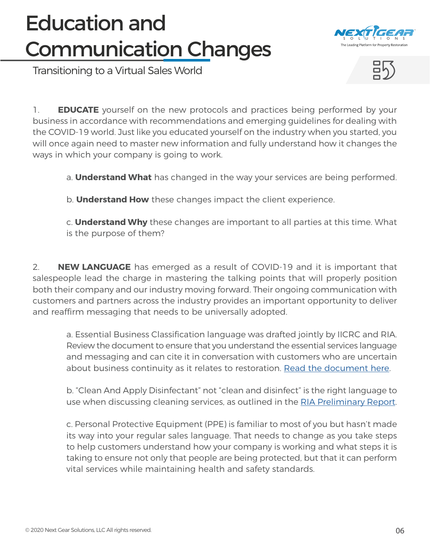#### <span id="page-5-0"></span>Education and Communication Changes



Transitioning to a Virtual Sales World



1. **EDUCATE** yourself on the new protocols and practices being performed by your business in accordance with recommendations and emerging guidelines for dealing with the COVID-19 world. Just like you educated yourself on the industry when you started, you will once again need to master new information and fully understand how it changes the ways in which your company is going to work.

a. **Understand What** has changed in the way your services are being performed.

b. **Understand How** these changes impact the client experience.

c. **Understand Why** these changes are important to all parties at this time. What is the purpose of them?

2. **NEW LANGUAGE** has emerged as a result of COVID-19 and it is important that salespeople lead the charge in mastering the talking points that will properly position both their company and our industry moving forward. Their ongoing communication with customers and partners across the industry provides an important opportunity to deliver and reaffirm messaging that needs to be universally adopted.

a. Essential Business Classification language was drafted jointly by IICRC and RIA. Review the document to ensure that you understand the essential services language and messaging and can cite it in conversation with customers who are uncertain about business continuity as it relates to restoration. [Read the document here](https://www.restorationindustry.org/resource/resmgr/RIA-IICRC_Joint_Letter-Exec.docx).

b. "Clean And Apply Disinfectant" not "clean and disinfect" is the right language to use when discussing cleaning services, as outlined in the [RIA Preliminary Report](https://cdn.ymaws.com/www.iicrc.org/resource/resmgr/docs/RIA_Preliminary_Report_for_R.pdf#utm_source=1700&utm_medium=2031&utm_campaign=3070&utm_term=4002&utm_content=5688).

c. Personal Protective Equipment (PPE) is familiar to most of you but hasn't made its way into your regular sales language. That needs to change as you take steps to help customers understand how your company is working and what steps it is taking to ensure not only that people are being protected, but that it can perform vital services while maintaining health and safety standards.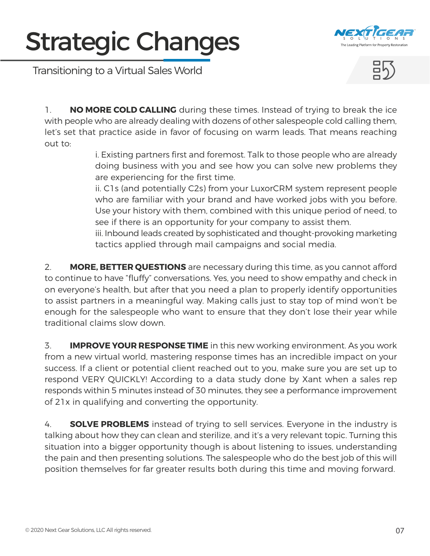

<span id="page-6-0"></span>Transitioning to a Virtual Sales World



1. **NO MORE COLD CALLING** during these times. Instead of trying to break the ice with people who are already dealing with dozens of other salespeople cold calling them, let's set that practice aside in favor of focusing on warm leads. That means reaching out to:

i. Existing partners first and foremost. Talk to those people who are already doing business with you and see how you can solve new problems they are experiencing for the first time.

ii. C1s (and potentially C2s) from your LuxorCRM system represent people who are familiar with your brand and have worked jobs with you before. Use your history with them, combined with this unique period of need, to see if there is an opportunity for your company to assist them.

iii. Inbound leads created by sophisticated and thought-provoking marketing tactics applied through mail campaigns and social media.

2. **MORE, BETTER QUESTIONS** are necessary during this time, as you cannot afford to continue to have "fluffy" conversations. Yes, you need to show empathy and check in on everyone's health, but after that you need a plan to properly identify opportunities to assist partners in a meaningful way. Making calls just to stay top of mind won't be enough for the salespeople who want to ensure that they don't lose their year while traditional claims slow down.

3. **IMPROVE YOUR RESPONSE TIME** in this new working environment. As you work from a new virtual world, mastering response times has an incredible impact on your success. If a client or potential client reached out to you, make sure you are set up to respond VERY QUICKLY! According to a data study done by Xant when a sales rep responds within 5 minutes instead of 30 minutes, they see a performance improvement of 21x in qualifying and converting the opportunity.

4. **SOLVE PROBLEMS** instead of trying to sell services. Everyone in the industry is talking about how they can clean and sterilize, and it's a very relevant topic. Turning this situation into a bigger opportunity though is about listening to issues, understanding the pain and then presenting solutions. The salespeople who do the best job of this will position themselves for far greater results both during this time and moving forward.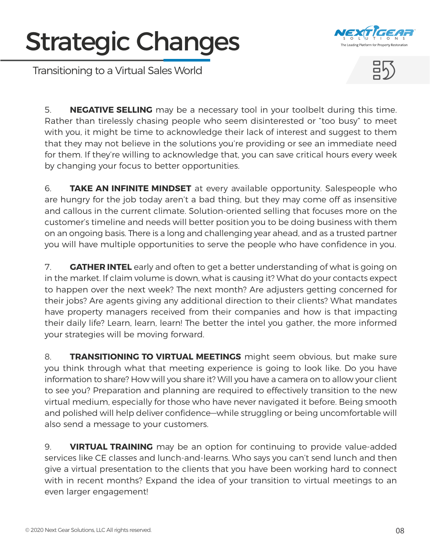

Transitioning to a Virtual Sales World



5. **NEGATIVE SELLING** may be a necessary tool in your toolbelt during this time. Rather than tirelessly chasing people who seem disinterested or "too busy" to meet with you, it might be time to acknowledge their lack of interest and suggest to them that they may not believe in the solutions you're providing or see an immediate need for them. If they're willing to acknowledge that, you can save critical hours every week by changing your focus to better opportunities.

6. **TAKE AN INFINITE MINDSET** at every available opportunity. Salespeople who are hungry for the job today aren't a bad thing, but they may come off as insensitive and callous in the current climate. Solution-oriented selling that focuses more on the customer's timeline and needs will better position you to be doing business with them on an ongoing basis. There is a long and challenging year ahead, and as a trusted partner you will have multiple opportunities to serve the people who have confidence in you.

7. **GATHER INTEL** early and often to get a better understanding of what is going on in the market. If claim volume is down, what is causing it? What do your contacts expect to happen over the next week? The next month? Are adjusters getting concerned for their jobs? Are agents giving any additional direction to their clients? What mandates have property managers received from their companies and how is that impacting their daily life? Learn, learn, learn! The better the intel you gather, the more informed your strategies will be moving forward.

8. **TRANSITIONING TO VIRTUAL MEETINGS** might seem obvious, but make sure you think through what that meeting experience is going to look like. Do you have information to share? How will you share it? Will you have a camera on to allow your client to see you? Preparation and planning are required to effectively transition to the new virtual medium, especially for those who have never navigated it before. Being smooth and polished will help deliver confidence—while struggling or being uncomfortable will also send a message to your customers.

9. **VIRTUAL TRAINING** may be an option for continuing to provide value-added services like CE classes and lunch-and-learns. Who says you can't send lunch and then give a virtual presentation to the clients that you have been working hard to connect with in recent months? Expand the idea of your transition to virtual meetings to an even larger engagement!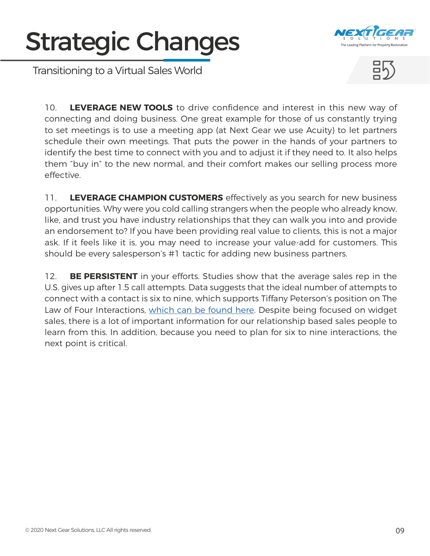

Transitioning to a Virtual Sales World



10. **LEVERAGE NEW TOOLS** to drive confidence and interest in this new way of connecting and doing business. One great example for those of us constantly trying to set meetings is to use a meeting app (at Next Gear we use Acuity) to let partners schedule their own meetings. That puts the power in the hands of your partners to identify the best time to connect with you and to adjust it if they need to. It also helps them "buy in" to the new normal, and their comfort makes our selling process more effective.

11. **LEVERAGE CHAMPION CUSTOMERS** effectively as you search for new business opportunities. Why were you cold calling strangers when the people who already know, like, and trust you have industry relationships that they can walk you into and provide an endorsement to? If you have been providing real value to clients, this is not a major ask. If it feels like it is, you may need to increase your value-add for customers. This should be every salesperson's #1 tactic for adding new business partners.

12. **BE PERSISTENT** in your efforts. Studies show that the average sales rep in the U.S. gives up after 1.5 call attempts. Data suggests that the ideal number of attempts to connect with a contact is six to nine, which supports Tiffany Peterson's position on The Law of Four Interactions, [which can be found here.](https://www.youtube.com/watch?v=5aNRWIGbEYs) Despite being focused on widget sales, there is a lot of important information for our relationship based sales people to learn from this. In addition, because you need to plan for six to nine interactions, the next point is critical.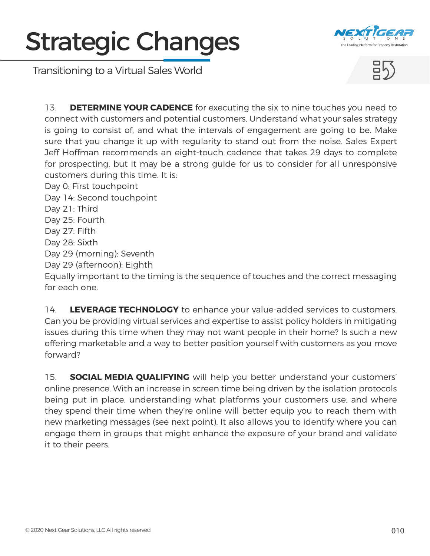





13. **DETERMINE YOUR CADENCE** for executing the six to nine touches you need to connect with customers and potential customers. Understand what your sales strategy is going to consist of, and what the intervals of engagement are going to be. Make sure that you change it up with regularity to stand out from the noise. Sales Expert Jeff Hoffman recommends an eight-touch cadence that takes 29 days to complete for prospecting, but it may be a strong guide for us to consider for all unresponsive customers during this time. It is:

Day 0: First touchpoint

Day 14: Second touchpoint

- Day 21: Third
- Day 25: Fourth
- Day 27: Fifth
- Day 28: Sixth

Day 29 (morning): Seventh

Day 29 (afternoon): Eighth

Equally important to the timing is the sequence of touches and the correct messaging for each one.

14. **LEVERAGE TECHNOLOGY** to enhance your value-added services to customers. Can you be providing virtual services and expertise to assist policy holders in mitigating issues during this time when they may not want people in their home? Is such a new offering marketable and a way to better position yourself with customers as you move forward?

15. **SOCIAL MEDIA QUALIFYING** will help you better understand your customers' online presence. With an increase in screen time being driven by the isolation protocols being put in place, understanding what platforms your customers use, and where they spend their time when they're online will better equip you to reach them with new marketing messages (see next point). It also allows you to identify where you can engage them in groups that might enhance the exposure of your brand and validate it to their peers.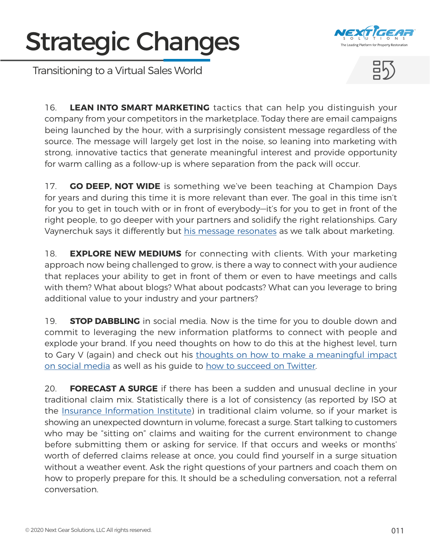

Transitioning to a Virtual Sales World



16. **LEAN INTO SMART MARKETING** tactics that can help you distinguish your company from your competitors in the marketplace. Today there are email campaigns being launched by the hour, with a surprisingly consistent message regardless of the source. The message will largely get lost in the noise, so leaning into marketing with strong, innovative tactics that generate meaningful interest and provide opportunity for warm calling as a follow-up is where separation from the pack will occur.

17. **GO DEEP, NOT WIDE** is something we've been teaching at Champion Days for years and during this time it is more relevant than ever. The goal in this time isn't for you to get in touch with or in front of everybody—it's for you to get in front of the right people, to go deeper with your partners and solidify the right relationships. Gary Vaynerchuk says it differently but [his message resonates](https://www.youtube.com/watch?v=4fsYWXrGGcE) as we talk about marketing.

18. **EXPLORE NEW MEDIUMS** for connecting with clients. With your marketing approach now being challenged to grow, is there a way to connect with your audience that replaces your ability to get in front of them or even to have meetings and calls with them? What about blogs? What about podcasts? What can you leverage to bring additional value to your industry and your partners?

19. **STOP DABBLING** in social media. Now is the time for you to double down and commit to leveraging the new information platforms to connect with people and explode your brand. If you need thoughts on how to do this at the highest level, turn to Gary V (again) and check out his [thoughts on how to make a meaningful impact](https://www.forbes.com/sites/tomward/2018/11/13/gary-vaynerchuk-how-to-blow-up-on-social-media/#1c64ce0e24e0) [on social media](https://www.forbes.com/sites/tomward/2018/11/13/gary-vaynerchuk-how-to-blow-up-on-social-media/#1c64ce0e24e0) as well as his guide to [how to succeed on Twitter](https://s3.amazonaws.com/gv2016wp/wp-content/uploads/20140324201941/social_platforms_infographic_Twitter_02.png).

20. **FORECAST A SURGE** if there has been a sudden and unusual decline in your traditional claim mix. Statistically there is a lot of consistency (as reported by ISO at the [Insurance Information Institute\)](https://www.iii.org/) in traditional claim volume, so if your market is showing an unexpected downturn in volume, forecast a surge. Start talking to customers who may be "sitting on" claims and waiting for the current environment to change before submitting them or asking for service. If that occurs and weeks or months' worth of deferred claims release at once, you could find yourself in a surge situation without a weather event. Ask the right questions of your partners and coach them on how to properly prepare for this. It should be a scheduling conversation, not a referral conversation.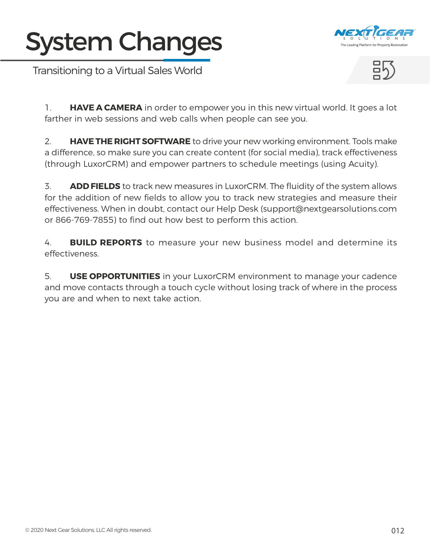#### <span id="page-11-0"></span>System Changes



Transitioning to a Virtual Sales World



1. **HAVE A CAMERA** in order to empower you in this new virtual world. It goes a lot farther in web sessions and web calls when people can see you.

2. **HAVE THE RIGHT SOFTWARE** to drive your new working environment. Tools make a difference, so make sure you can create content (for social media), track effectiveness (through LuxorCRM) and empower partners to schedule meetings (using Acuity).

3. **ADD FIELDS** to track new measures in LuxorCRM. The fluidity of the system allows for the addition of new fields to allow you to track new strategies and measure their effectiveness. When in doubt, contact our Help Desk (support@nextgearsolutions.com or 866-769-7855) to find out how best to perform this action.

4. **BUILD REPORTS** to measure your new business model and determine its effectiveness.

5. **USE OPPORTUNITIES** in your LuxorCRM environment to manage your cadence and move contacts through a touch cycle without losing track of where in the process you are and when to next take action.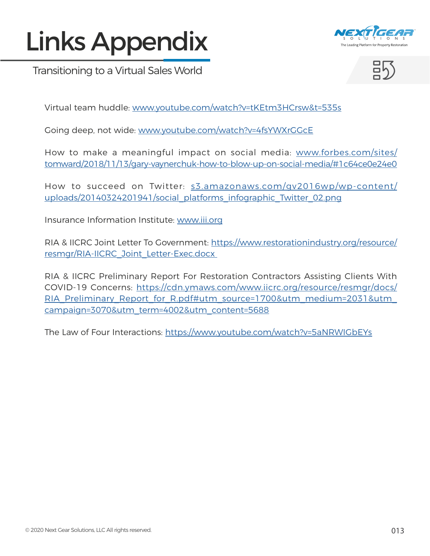### <span id="page-12-0"></span>Links Appendix



Transitioning to a Virtual Sales World



Virtual team huddle: [www.youtube.com/watch?v=tKEtm3HCrsw&t=535s](http://www.youtube.com/watch?v=tKEtm3HCrsw&t=535s)

Going deep, not wide: [www.youtube.com/watch?v=4fsYWXrGGcE](http://www.youtube.com/watch?v=4fsYWXrGGcE)

How to make a meaningful impact on social media: [www.forbes.com/sites/](http://www.forbes.com/sites/tomward/2018/11/13/gary-vaynerchuk-how-to-blow-up-on-social-media/#1c64ce0e24e0) [tomward/2018/11/13/gary-vaynerchuk-how-to-blow-up-on-social-media/#1c64ce0e24e0](http://www.forbes.com/sites/tomward/2018/11/13/gary-vaynerchuk-how-to-blow-up-on-social-media/#1c64ce0e24e0)

How to succeed on Twitter: [s3.amazonaws.com/gv2016wp/wp-content/](http://s3.amazonaws.com/gv2016wp/wp-content/uploads/20140324201941/social_platforms_infographic_Twitter_02.) [uploads/20140324201941/social\\_platforms\\_infographic\\_Twitter\\_02.png](http://s3.amazonaws.com/gv2016wp/wp-content/uploads/20140324201941/social_platforms_infographic_Twitter_02.)

Insurance Information Institute: [www.iii.org](http://www.iii.org)

RIA & IICRC Joint Letter To Government: [https://www.restorationindustry.org/resource/](https://www.restorationindustry.org/resource/resmgr/RIA-IICRC_Joint_Letter-Exec.docx  ) [resmgr/RIA-IICRC\\_Joint\\_Letter-Exec.docx](https://www.restorationindustry.org/resource/resmgr/RIA-IICRC_Joint_Letter-Exec.docx  ) 

RIA & IICRC Preliminary Report For Restoration Contractors Assisting Clients With COVID-19 Concerns: [https://cdn.ymaws.com/www.iicrc.org/resource/resmgr/docs/](https://cdn.ymaws.com/www.iicrc.org/resource/resmgr/docs/RIA_Preliminary_Report_for_R.pdf#utm_source) RIA\_Preliminary\_Report\_for\_R.pdf#utm\_source=1700&utm\_medium=2031&utm [campaign=3070&utm\\_term=4002&utm\\_content=5688](https://cdn.ymaws.com/www.iicrc.org/resource/resmgr/docs/RIA_Preliminary_Report_for_R.pdf#utm_source)

The Law of Four Interactions:<https://www.youtube.com/watch?v=5aNRWIGbEYs>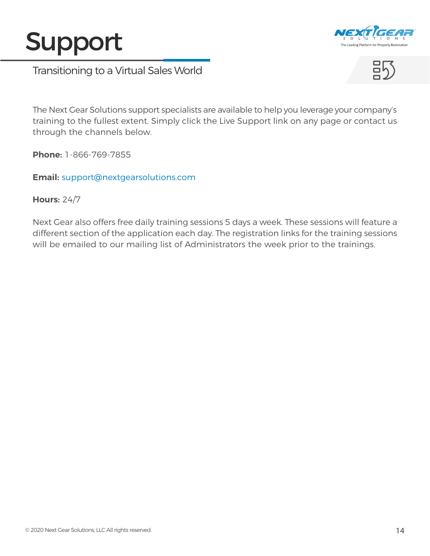#### Support



Transitioning to a Virtual Sales World



The Next Gear Solutions support specialists are available to help you leverage your company's training to the fullest extent. Simply click the Live Support link on any page or contact us through the channels below.

**Phone:** 1-866-769-7855

**Email:** [support@nextgearsolutions.com](mailto:support%40nextgearsolutions.com?subject=)

#### **Hours:** 24/7

Next Gear also offers free daily training sessions 5 days a week. These sessions will feature a different section of the application each day. The registration links for the training sessions will be emailed to our mailing list of Administrators the week prior to the trainings.